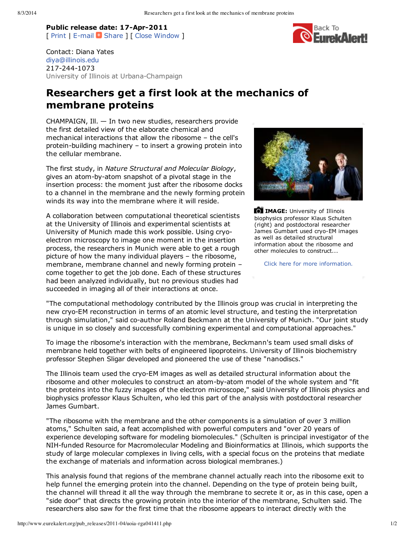## **Public release date: 17-Apr-2011** [ Print | E-mail + [Share](http://www.addthis.com/bookmark.php?v=20) ] [ Close Window ]



Contact: Diana Yates [diya@illinois.edu](mailto:diya@illinois.edu) 217-244-1073 University of Illinois at Urbana-Champaign

## **Researchers get a first look at the mechanics of membrane proteins**

CHAMPAIGN, Ill. — In two new studies, researchers provide the first detailed view of the elaborate chemical and mechanical interactions that allow the ribosome – the cell's protein-building machinery – to insert a growing protein into the cellular membrane.

The first study, in *Nature Structural and Molecular Biology*, gives an atom-by-atom snapshot of a pivotal stage in the insertion process: the moment just after the ribosome docks to a channel in the membrane and the newly forming protein winds its way into the membrane where it will reside.

A collaboration between computational theoretical scientists at the University of Illinois and experimental scientists at University of Munich made this work possible. Using cryoelectron microscopy to image one moment in the insertion process, the researchers in Munich were able to get a rough picture of how the many individual players – the ribosome, membrane, membrane channel and newly forming protein – come together to get the job done. Each of these structures had been analyzed individually, but no previous studies had succeeded in imaging all of their interactions at once.



**[IMAGE:](http://www.eurekalert.org/multimedia/pub/31447.php?from=183375)** University of Illinois biophysics professor Klaus Schulten (right) and postdoctoral researcher James Gumbart used cryo-EM images as well as detailed structural information about the ribosome and other molecules to construct...

Click here for more [information.](http://www.eurekalert.org/multimedia/pub/31447.php?from=183375)

"The computational methodology contributed by the Illinois group was crucial in interpreting the new cryo-EM reconstruction in terms of an atomic level structure, and testing the interpretation through simulation," said co-author Roland Beckmann at the University of Munich. "Our joint study is unique in so closely and successfully combining experimental and computational approaches."

To image the ribosome's interaction with the membrane, Beckmann's team used small disks of membrane held together with belts of engineered lipoproteins. University of Illinois biochemistry professor Stephen Sligar developed and pioneered the use of these "nanodiscs."

The Illinois team used the cryo-EM images as well as detailed structural information about the ribosome and other molecules to construct an atom-by-atom model of the whole system and "fit the proteins into the fuzzy images of the electron microscope," said University of Illinois physics and biophysics professor Klaus Schulten, who led this part of the analysis with postdoctoral researcher James Gumbart.

"The ribosome with the membrane and the other components is a simulation of over 3 million atoms," Schulten said, a feat accomplished with powerful computers and "over 20 years of experience developing software for modeling biomolecules." (Schulten is principal investigator of the NIH-funded Resource for Macromolecular Modeling and Bioinformatics at Illinois, which supports the study of large molecular complexes in living cells, with a special focus on the proteins that mediate the exchange of materials and information across biological membranes.)

This analysis found that regions of the membrane channel actually reach into the ribosome exit to help funnel the emerging protein into the channel. Depending on the type of protein being built, the channel will thread it all the way through the membrane to secrete it or, as in this case, open a "side door" that directs the growing protein into the interior of the membrane, Schulten said. The researchers also saw for the first time that the ribosome appears to interact directly with the